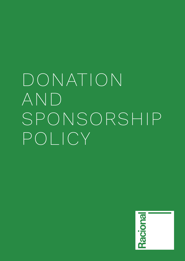# DONATION AND SPONSORSHIP POLICY

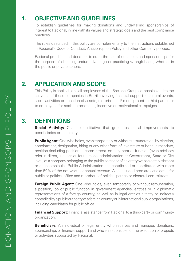## **1. OBJECTIVE AND GUIDELINES**

 To establish guidelines for making donations and undertaking sponsorships of interest to Racional, in line with its Values and strategic goals and the best compliance practices.

 The rules described in this policy are complementary to the instructions established in Racional's Code of Conduct, Anticorruption Policy and other Company policies.

 Racional prohibits and does not tolerate the use of donations and sponsorships for the purpose of obtaining undue advantage or practicing wrongful acts, whether in the public or private sphere.

## **2. APPLICATION AND SCOPE**

 This Policy is applicable to all employees of the Racional Group companies and to the activities of those companies in Brazil, involving financial support to cultural events, social activities or donation of assets, materials and/or equipment to third parties or to employees for social, promotional, incentive or motivational campaigns.

## **3. DEFINITIONS**

**Social Activity:** Charitable initiative that generates social improvements to beneficiaries or to society.

 **Public Agent:** One who holds, even temporarily or without remuneration, by election, appointment, designation, hiring or any other form of investiture or bond, a mandate, position (including position in committees), employment or function (even advisory role) in direct, indirect or foundational administration at Government, State or City level, of a company belonging to the public sector or of an entity whose establishment or sponsorship the Public Administration has contributed or contributes with more than 50% of the net worth or annual revenue. Also included here are candidates for public or political office and members of political parties or electoral committees.

**Foreign Public Agent:** One who holds, even temporarily or without remuneration, a position, job or public function in government agencies, entities or in diplomatic representations of a foreign country, as well as in legal entities directly or indirectly controlled by a public authority of a foreign country or in international public organizations, including candidates for public office.

 **Financial Support:** Financial assistance from Racional to a third-party or community organization.

**Beneficiary:** An individual or legal entity who receives and manages donations, sponsorships or financial support and who is responsible for the execution of projects or activities supported by Racional.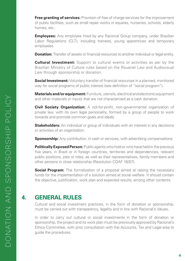**Free granting of services:** Provision of free of charge services for the improvement of public facilities, such as small repair works in squares, nurseries, schools, elderly homes, etc..

**Employees:** Any employee hired by any Racional Group company, under Brazilian Labor Regulations (CLT), including trainees, young apprentices and temporary employees.

**Donation:** Transfer of assets or financial resources to another individual or legal entity.

 **Cultural Investment:** Support to cultural events or activities as per by the Brazilian Ministry of Culture rules based on the Rouanet Law and Audiovisual Law through sponsorship or donation.

**Social Investment:** Voluntary transfer of financial resources in a planned, monitored way for social programs of public interest (see definition of "social program").

 **Materials and/or equipment:** Furniture, utensils, electrical and electronic equipment and other materials or inputs that are not characterized as a cash donation.

 **Civil Society Organization:** A not-for-profit, non-governmental organization of private law, with its own legal personality, formed by a group of people to work towards and promote common goals and ideals.

**Stakeholders:** An individual or group of individuals with an interest in any decisions or activities of an organization.

**Sponsorship:** Any contribution, in cash or services, with advertising compensations.

 **Politically Exposed Person:** Public agents who hold or who have held in the previous five years, in Brazil or in foreign countries, territories and dependencies, relevant public positions, jobs or roles, as well as their representatives, family members and other persons in close relationship (Resolution COAF 16/07).

**Social Program:** The formalization of a proposal aimed at raising the necessary funds for the implementation of a solution aimed at social welfare. It should contain the objective, justification, work plan and expected results, among other contents.

## **4. GENERAL RULES**

 Cultural and social investment practices, in the form of donation or sponsorship, must be carried out with transparency, legality and in line with Racional's Values.

 In order to carry out cultural or social investments in the form of donation or sponsorship, the project and its work plan must be previously approved by Racional's Ethics Committee, with prior consultation with the Accounts, Tax and Legal area to guide the procedures.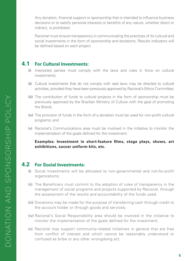Any donation, financial support or sponsorship that is intended to influence business decisions or to satisfy personal interests or benefits of any nature, whether direct or indirect, is prohibited.

 Racional must ensure transparency in communicating the practices of its cultural and social investments in the form of sponsorship and donations. Results indicators will be defined based on each project.

#### **4.1 For Cultural Investments:**

- (i) Interested parties must comply with the laws and rules in force on cultural investments;
- (ii) Cultural investments that do not comply with said laws may be directed to cultural activities, provided they have been previously approved by Racional's Ethics Committee;
- (iii) The contribution of funds to cultural projects in the form of sponsorship must be previously approved by the Brazilian Ministry of Culture with the goal of promoting the Brand;
- (iv) The provision of funds in the form of a donation must be used for non-profit cultural programs; and
- (v) Racional's Communications area must be involved in the initiative to monitor the implementation of the goals defined for the investment.

#### **Examples: Investment in short-feature films, stage plays, shows, art exhibitions, soccer uniform kits, etc.**

#### **4.2 For Social Investments:**

- (i) Social Investments will be allocated to non-governmental and not-for-profit organizations;
- (ii) The Beneficiary must commit to the adoption of rules of transparency in the management of social programs and projects supported by Racional, through the assessment of the results and accountability of the funds used;
- (iii) Donations may be made for the purpose of transferring cash through credit to the account holder or through goods and services;
- (iv) Racional's Social Responsibility area should be involved in the initiative to monitor the implementation of the goals defined for the investment;
- (v) Racional may support community-related initiatives in general that are free from conflict of interest and which cannot be reasonably understood or confused as bribe or any other wrongdoing act.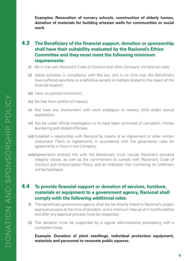**Examples: Renovation of nursery schools, construction of elderly homes, donation of materials for building artesian wells for communities or social work.**

## **4.3 The Beneficiary of the financial support, donation or sponsorship shall have their suitability evaluated by the Racional's Ethics Committee and they must meet the following minimum requirements:**

- (i) Be in line with Racional's Code of Conduct and other Company compliance rules;
- (ii) Adopt activities in compliance with the law, and in no time may the Beneficiary have suffered sanctions or a definitive penalty in matters related to the object of the financial support;
- (iii) Have no political connection;
- (iv) Be free from conflict of interest;
- (v) Not have any involvement with work analogous to slavery, child and/or sexual exploitation;
- (vi) Not be under official investigation or to have been convicted of corruption, money laundering and related offenses;
- (vii) Establish a relationship with Racional by means of an Agreement or other written instrument (Term or Agreement), in accordance with the governance rules for agreements in force in the Company;
- (viii)Agreements entered into with the Beneficiary must include Racional's standard integrity clause, as well as the commitment to comply with Racional's Code of Conduct and Anticorruption Policy, and an indication that monitoring its fulfillment will be facilitated.

#### **4.4 To provide financial support or donation of services, furniture, materials or equipment to a government agency, Racional shall comply with the following additional rules:**

- (i) The beneficiary government agency shall not be directly linked to Racional's project approval process at the time of donation, and a minimum interval of 4 months before and after any approval process must be respected;
- (ii) The donation must be supported by a regular administrative proceeding with a competent body.

 **Example: Donation of plant seedlings, individual protection equipment, materials and personnel to renovate public squares.**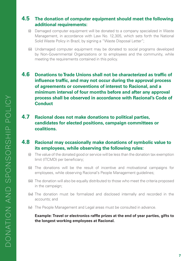## **4.5 The donation of computer equipment should meet the following additional requirements:**

- (i) Damaged computer equipment will be donated to a company specialized in Waste Management, in accordance with Law No. 12,305, which sets forth the National Solid Waste Policy in Brazil, by signing a "Waste Disposal Letter";
- (ii) Undamaged computer equipment may be donated to social programs developed by Non-Governmental Organizations or to employees and the community, while meeting the requirements contained in this policy.
- **4.6 Donations to Trade Unions shall not be characterized as traffic of influence traffic, and may not occur during the approval process of agreements or conventions of interest to Racional, and a minimum interval of four months before and after any approval process shall be observed in accordance with Racional's Code of Conduct**
- **4.7 Racional does not make donations to political parties, candidates for elected positions, campaign committees or coalitions.**
- **4.8 Racional may occasionally make donations of symbolic value to its employees, while observing the following rules:**
	- (i) The value of the donated good or service will be less than the donation tax exemption limit (ITCMD) per beneficiary;
	- (ii) The donations will be the result of incentive and motivational campaigns for employees, while observing Racional's People Management guidelines;
	- (iii) The donation will also be equally distributed to those who meet the criteria proposed in the campaign;
	- (iv) The donation must be formalized and disclosed internally and recorded in the accounts; and
	- (v) The People Management and Legal areas must be consulted in advance.

 **Example: Travel or electronics raffle prizes at the end of year parties, gifts to the longest working employees at Racional.**